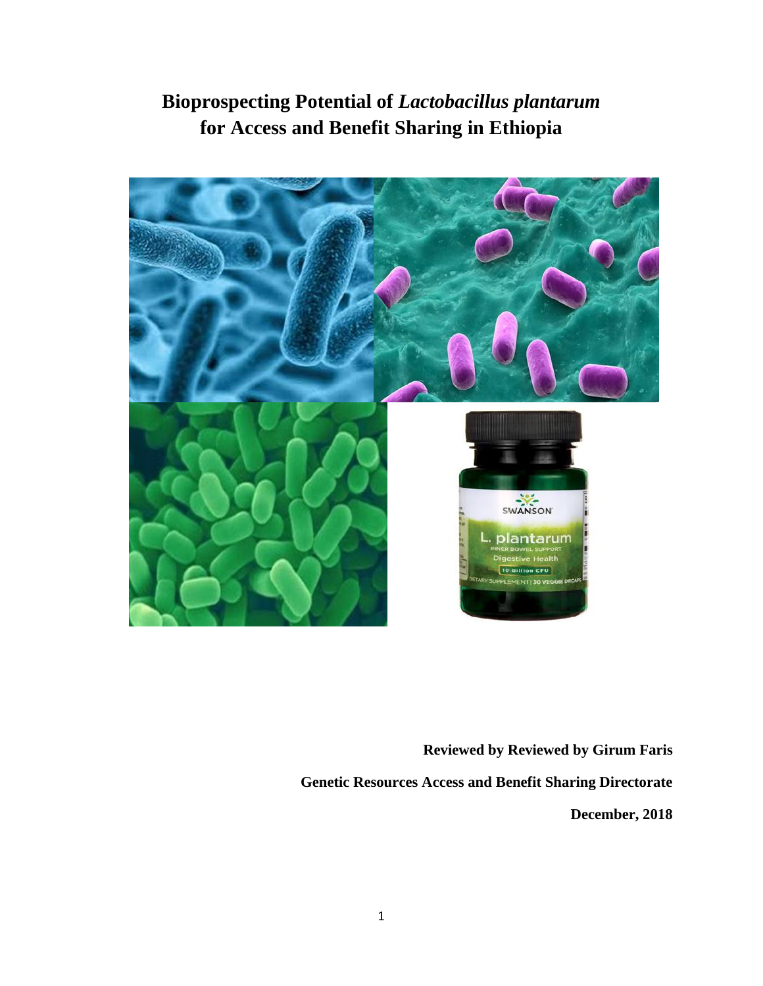**Bioprospecting Potential of** *Lactobacillus plantarum*  **for Access and Benefit Sharing in Ethiopia**



**Reviewed by Reviewed by Girum Faris Genetic Resources Access and Benefit Sharing Directorate December, 2018**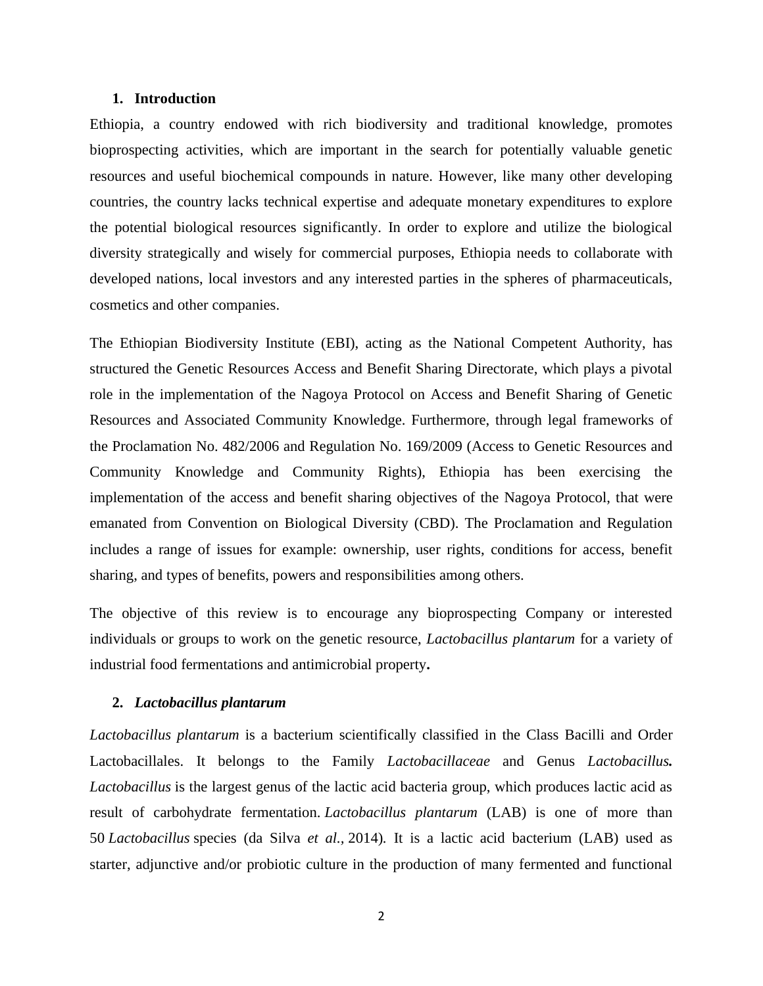## **1. Introduction**

Ethiopia, a country endowed with rich biodiversity and traditional knowledge, promotes bioprospecting activities, which are important in the search for potentially valuable genetic resources and useful biochemical compounds in nature. However, like many other developing countries, the country lacks technical expertise and adequate monetary expenditures to explore the potential biological resources significantly. In order to explore and utilize the biological diversity strategically and wisely for commercial purposes, Ethiopia needs to collaborate with developed nations, local investors and any interested parties in the spheres of pharmaceuticals, cosmetics and other companies.

The Ethiopian Biodiversity Institute (EBI), acting as the National Competent Authority, has structured the Genetic Resources Access and Benefit Sharing Directorate, which plays a pivotal role in the implementation of the Nagoya Protocol on Access and Benefit Sharing of Genetic Resources and Associated Community Knowledge. Furthermore, through legal frameworks of the Proclamation No. 482/2006 and Regulation No. 169/2009 (Access to Genetic Resources and Community Knowledge and Community Rights), Ethiopia has been exercising the implementation of the access and benefit sharing objectives of the Nagoya Protocol, that were emanated from Convention on Biological Diversity (CBD). The Proclamation and Regulation includes a range of issues for example: ownership, user rights, conditions for access, benefit sharing, and types of benefits, powers and responsibilities among others.

The objective of this review is to encourage any bioprospecting Company or interested individuals or groups to work on the genetic resource, *Lactobacillus plantarum* for a variety of industrial food fermentations and antimicrobial property**.**

#### **2.** *Lactobacillus plantarum*

*Lactobacillus plantarum* is a bacterium scientifically classified in the Class [Bacilli](https://en.wikipedia.org/wiki/Bacilli) and Order [Lactobacillales.](https://en.wikipedia.org/wiki/Lactobacillales) It belongs to the Family *[Lactobacillaceae](https://en.wikipedia.org/wiki/Lactobacillaceae)* and Genus *[Lactobacillus](https://en.wikipedia.org/wiki/Lactobacillus). Lactobacillus* is the largest genus of the lactic acid bacteria group, which produces lactic acid as result of carbohydrate fermentation. *Lactobacillus plantarum* (LAB) is one of more than 50 *Lactobacillus* species (da Silva *et al.,* 2014)*.* It is a lactic acid bacterium (LAB) used as starter, adjunctive and/or probiotic culture in the production of many fermented and functional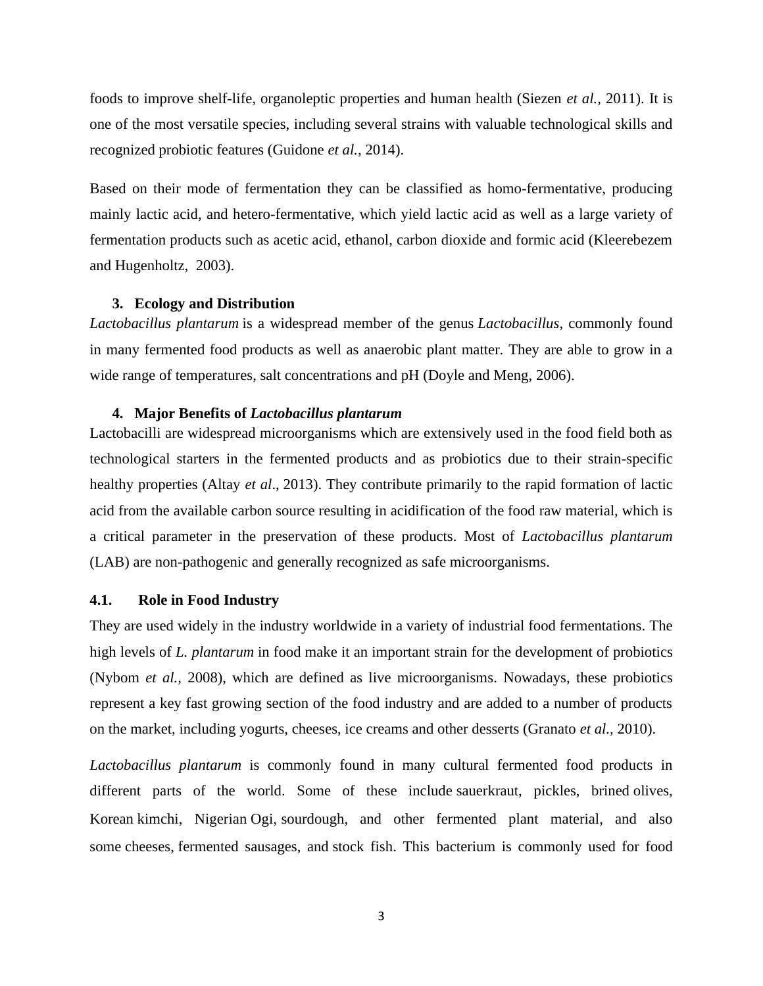foods to improve shelf-life, organoleptic properties and human health (Siezen *et al.,* 2011). It is one of the most versatile species, including several strains with valuable technological skills and recognized probiotic features (Guidone *et al.,* [2014\)](https://www.ncbi.nlm.nih.gov/pmc/articles/PMC4829616/#B22).

Based on their mode of fermentation they can be classified as homo-fermentative, producing mainly lactic acid, and hetero-fermentative, which yield lactic acid as well as a large variety of fermentation products such as acetic acid, ethanol, carbon dioxide and formic acid (Kleerebezem and Hugenholtz, 2003).

# **3. Ecology and Distribution**

*Lactobacillus plantarum* is a widespread member of the genus *Lactobacillus*, commonly found in many fermented food products as well as anaerobic plant matter. They are able to grow in a wide range of temperatures, salt concentrations and pH (Doyle and Meng, 2006).

# **4. Major Benefits of** *Lactobacillus plantarum*

Lactobacilli are widespread microorganisms which are extensively used in the food field both as technological starters in the fermented products and as probiotics due to their strain-specific healthy properties (Altay *et al*., [2013\)](https://www.ncbi.nlm.nih.gov/pmc/articles/PMC4829616/#B4). They contribute primarily to the rapid formation of lactic acid from the available carbon source resulting in acidification of the food raw material, which is a critical parameter in the preservation of these products. Most of *Lactobacillus plantarum*  (LAB) are non-pathogenic and generally recognized as safe microorganisms.

# **4.1. Role in Food Industry**

They are used widely in the industry worldwide in a variety of industrial food fermentations. The high levels of *L. plantarum* in food make it an important strain for the development of [probiotics](https://en.wikipedia.org/wiki/Probiotics) (Nybom *et al.,* 2008), which are defined as live microorganisms. Nowadays, these probiotics represent a key fast growing section of the food industry and are added to a number of products on the market, including yogurts, cheeses, ice creams and other desserts (Granato *et al.,* 2010).

*Lactobacillus plantarum* is commonly found in many cultural fermented food products in different parts of the world. Some of these include sauerkraut, pickles, brined [olives,](https://en.wikipedia.org/wiki/Olives) Korean kimchi, Nigerian [Ogi,](https://en.wikipedia.org/wiki/Ogi_(cereal_ferment)) sourdough, and other fermented plant material, and also some [cheeses,](https://en.wikipedia.org/wiki/Cheese) [fermented sausages,](https://en.wikipedia.org/wiki/Fermented_sausages) and stock fish. This bacterium is commonly used for food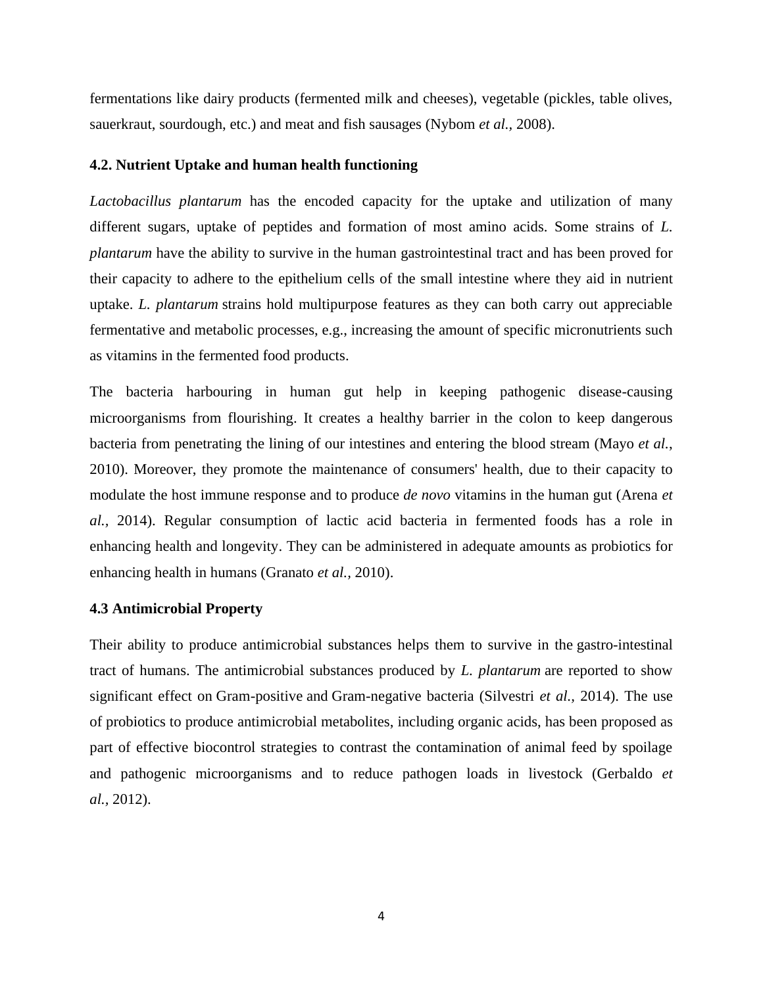fermentations like dairy products (fermented milk and cheeses), vegetable (pickles, table olives, sauerkraut, sourdough, etc.) and meat and fish sausages (Nybom *et al.,* 2008).

# **4.2. Nutrient Uptake and human health functioning**

*Lactobacillus plantarum* has the encoded capacity for the uptake and utilization of many different sugars, uptake of peptides and formation of most amino acids. Some strains of *L. plantarum* have the ability to survive in the human gastrointestinal tract and has been proved for their capacity to adhere to the epithelium cells of the small intestine where they aid in nutrient uptake. *L. plantarum* strains hold multipurpose features as they can both carry out appreciable fermentative and metabolic processes, e.g., increasing the amount of specific micronutrients such as vitamins in the fermented food products.

The bacteria harbouring in human gut help in keeping pathogenic disease-causing microorganisms from flourishing. It creates a healthy barrier in the colon to keep dangerous bacteria from penetrating the lining of our intestines and entering the blood stream (Mayo *et al.*, 2010). Moreover, they promote the maintenance of consumers' health, due to their capacity to modulate the host immune response and to produce *de novo* vitamins in the human gut (Arena *et al.,* 2014). Regular consumption of lactic acid bacteria in fermented foods has a role in enhancing health and longevity. They can be administered in adequate amounts as probiotics for enhancing health in humans (Granato *et al.,* 2010).

### **4.3 Antimicrobial Property**

Their ability to produce antimicrobial substances helps them to survive in the [gastro-intestinal](https://en.wikipedia.org/wiki/Gastro-intestinal_tract_of_humans)  [tract of humans.](https://en.wikipedia.org/wiki/Gastro-intestinal_tract_of_humans) The antimicrobial substances produced by *L. plantarum* are reported to show significant effect on [Gram-positive](https://en.wikipedia.org/wiki/Gram-positive) and [Gram-negative bacteria](https://en.wikipedia.org/wiki/Gram-negative_bacteria) (Silvestri *et al.,* 2014). The use of probiotics to produce antimicrobial metabolites, including organic acids, has been proposed as part of effective biocontrol strategies to contrast the contamination of animal feed by spoilage and pathogenic microorganisms and to reduce pathogen loads in livestock (Gerbaldo *et al.,* [2012\)](https://www.ncbi.nlm.nih.gov/pmc/articles/PMC4829616/#B21).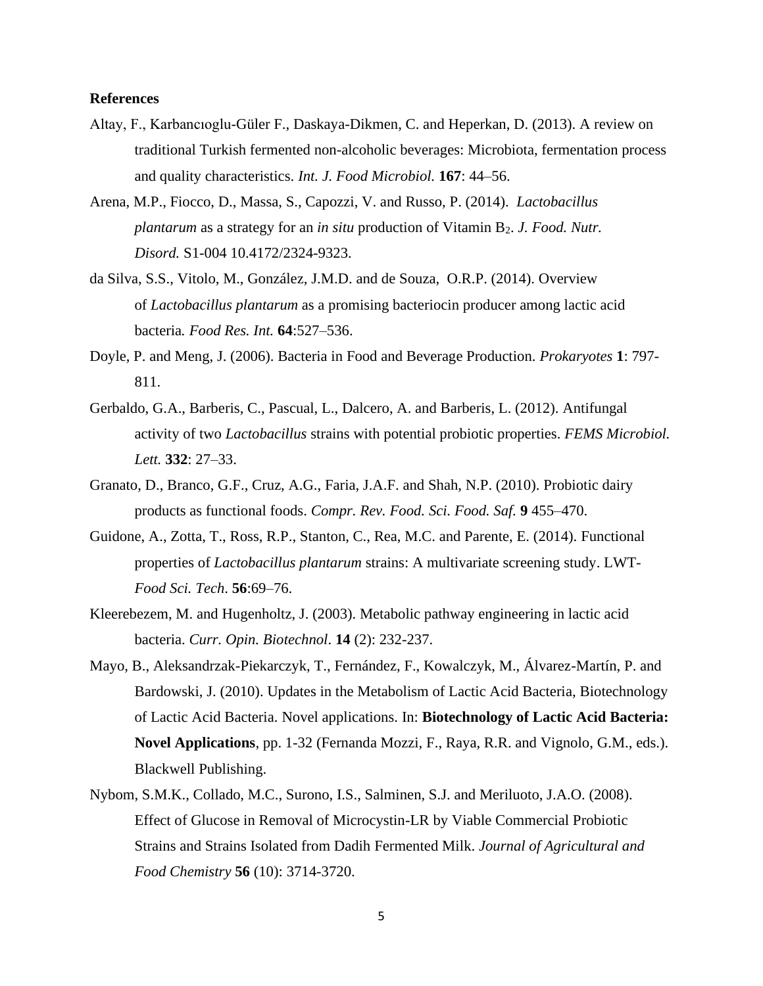# **References**

- Altay, F., Karbancıoglu-Güler F., Daskaya-Dikmen, C. and Heperkan, D. (2013). A review on traditional Turkish fermented non-alcoholic beverages: Microbiota, fermentation process and quality characteristics. *Int. J. Food Microbiol.* **167**: 44–56.
- Arena, M.P., Fiocco, D., Massa, S., Capozzi, V. and Russo, P. (2014). *Lactobacillus plantarum* as a strategy for an *in situ* production of Vitamin B2. *J. Food. Nutr. Disord.* S1-004 10.4172/2324-9323.
- da Silva, S.S., Vitolo, M., González, J.M.D. and de Souza, O.R.P. (2014). Overview of *Lactobacillus plantarum* as a promising bacteriocin producer among lactic acid bacteria*. Food Res. Int.* **64**:527–536.
- Doyle, P. and Meng, J. (2006). Bacteria in Food and Beverage Production. *Prokaryotes* **1**: 797- 811.
- Gerbaldo, G.A., Barberis, C., Pascual, L., Dalcero, A. and Barberis, L. (2012). Antifungal activity of two *Lactobacillus* strains with potential probiotic properties. *FEMS Microbiol. Lett.* **332**: 27–33.
- Granato, D., Branco, G.F., Cruz, A.G., Faria, J.A.F. and Shah, N.P. (2010). Probiotic dairy products as functional foods. *Compr. Rev. Food. Sci. Food. Saf.* **9** 455–470.
- Guidone, A., Zotta, T., Ross, R.P., Stanton, C., Rea, M.C. and Parente, E. (2014). Functional properties of *Lactobacillus plantarum* strains: A multivariate screening study. LWT-*Food Sci. Tech*. **56**:69–76.
- Kleerebezem, M. and Hugenholtz, J. (2003). Metabolic pathway engineering in lactic acid bacteria. *Curr. Opin. Biotechnol*. **14** (2): 232-237.
- Mayo, B., Aleksandrzak-Piekarczyk, T., Fernández, F., Kowalczyk, M., Álvarez-Martín, P. and Bardowski, J. (2010). Updates in the Metabolism of Lactic Acid Bacteria, Biotechnology of Lactic Acid Bacteria. Novel applications. In: **Biotechnology of Lactic Acid Bacteria: Novel Applications**, pp. 1-32 (Fernanda Mozzi, F., Raya, R.R. and Vignolo, G.M., eds.). Blackwell Publishing.
- Nybom, S.M.K., Collado, M.C., Surono, I.S., Salminen, S.J. and Meriluoto, J.A.O. (2008). Effect of Glucose in Removal of Microcystin-LR by Viable Commercial Probiotic Strains and Strains Isolated from Dadih Fermented Milk. *Journal of Agricultural and Food Chemistry* **56** (10): 3714-3720.